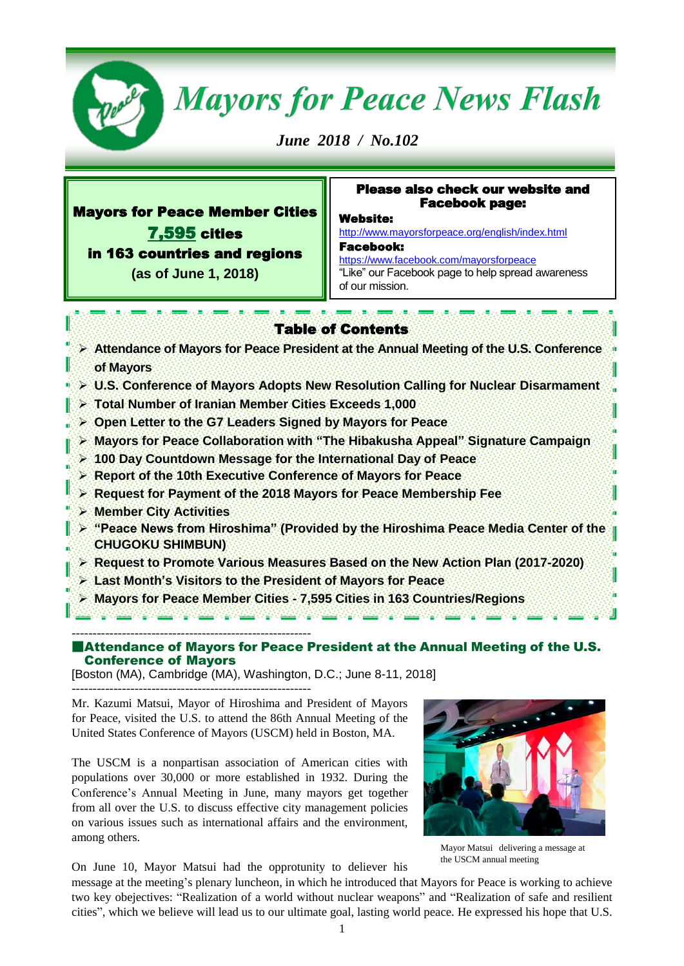

# **Mayors for Peace News Flash**

*June 2018 / No.102* 

# Mayors for Peace Member Cities 7,595 cities in 163 countries and regions **(as of June 1, 2018)**

Ī

# Please also check our website and Facebook page:

Website:

<http://www.mayorsforpeace.org/english/index.html> Facebook:

<https://www.facebook.com/mayorsforpeace> "Like" our Facebook page to help spread awareness of our mission.

# Table of Contents

- **Attendance of Mayors for Peace President at the Annual Meeting of the U.S. Conference of Mayors**
- **U.S. Conference of Mayors Adopts New Resolution Calling for Nuclear Disarmament**
- **Total Number of Iranian Member Cities Exceeds 1,000**
- **Open Letter to the G7 Leaders Signed by Mayors for Peace**
- **Mayors for Peace Collaboration with "The Hibakusha Appeal" Signature Campaign**
- **100 Day Countdown Message for the International Day of Peace**
- **Report of the 10th Executive Conference of Mayors for Peace**
- **Request for Payment of the 2018 Mayors for Peace Membership Fee**
- **Member City Activities**
- **"Peace News from Hiroshima" (Provided by the Hiroshima Peace Media Center of the CHUGOKU SHIMBUN)**
- **Request to Promote Various Measures Based on the New Action Plan (2017-2020)**
- **Last Month's Visitors to the President of Mayors for Peace**
- **Mayors for Peace Member Cities - 7,595 Cities in 163 Countries/Regions**

--------------------------------------------------------- Attendance of Mayors for Peace President at the Annual Meeting of the U.S. Conference of Mayors

[Boston (MA), Cambridge (MA), Washington, D.C.; June 8-11, 2018]

---------------------------------------------------------

Mr. Kazumi Matsui, Mayor of Hiroshima and President of Mayors for Peace, visited the U.S. to attend the 86th Annual Meeting of the United States Conference of Mayors (USCM) held in Boston, MA.

The USCM is a nonpartisan association of American cities with populations over 30,000 or more established in 1932. During the Conference's Annual Meeting in June, many mayors get together from all over the U.S. to discuss effective city management policies on various issues such as international affairs and the environment, among others.

On June 10, Mayor Matsui had the opprotunity to deliever his

message at the meeting's plenary luncheon, in which he introduced that Mayors for Peace is working to achieve two key obejectives: "Realization of a world without nuclear weapons" and "Realization of safe and resilient cities", which we believe will lead us to our ultimate goal, lasting world peace. He expressed his hope that U.S.



the USCM annual meeting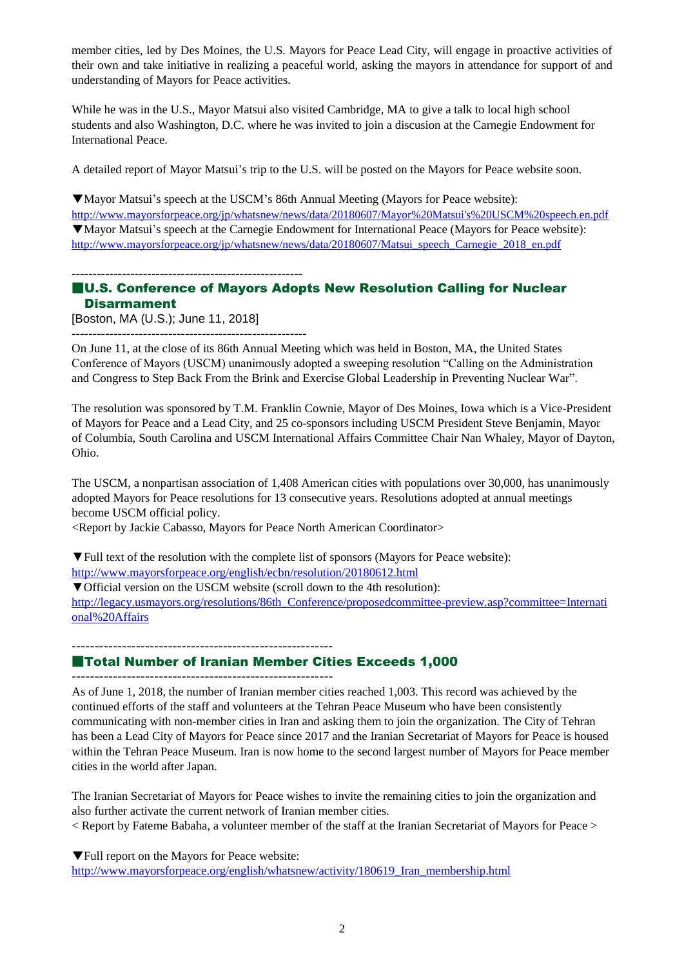member cities, led by Des Moines, the U.S. Mayors for Peace Lead City, will engage in proactive activities of their own and take initiative in realizing a peaceful world, asking the mayors in attendance for support of and understanding of Mayors for Peace activities.

While he was in the U.S., Mayor Matsui also visited Cambridge, MA to give a talk to local high school students and also Washington, D.C. where he was invited to join a discusion at the Carnegie Endowment for International Peace.

A detailed report of Mayor Matsui's trip to the U.S. will be posted on the Mayors for Peace website soon.

▼Mayor Matsui's speech at the USCM's 86th Annual Meeting (Mayors for Peace website): [http://www.mayorsforpeace.org/jp/whatsnew/news/data/20180607/Mayor%20Matsui's%20USCM%20speech.en.pdf](http://www.mayorsforpeace.org/jp/whatsnew/news/data/20180607/Mayor%20Matsui) ▼Mayor Matsui's speech at the Carnegie Endowment for International Peace (Mayors for Peace website): [http://www.mayorsforpeace.org/jp/whatsnew/news/data/20180607/Matsui\\_speech\\_Carnegie\\_2018\\_en.pdf](http://www.mayorsforpeace.org/jp/whatsnew/news/data/20180607/Matsui_speech_Carnegie_2018_en.pdf)

-------------------------------------------------------

--------------------------------------------------------

# ■U.S. Conference of Mayors Adopts New Resolution Calling for Nuclear Disarmament

[Boston, MA (U.S.); June 11, 2018]

On June 11, at the close of its 86th Annual Meeting which was held in Boston, MA, the United States Conference of Mayors (USCM) unanimously adopted a sweeping resolution "Calling on the Administration and Congress to Step Back From the Brink and Exercise Global Leadership in Preventing Nuclear War".

The resolution was sponsored by T.M. Franklin Cownie, Mayor of Des Moines, Iowa which is a Vice-President of Mayors for Peace and a Lead City, and 25 co-sponsors including USCM President Steve Benjamin, Mayor of Columbia, South Carolina and USCM International Affairs Committee Chair Nan Whaley, Mayor of Dayton, Ohio.

[The USCM,](http://www.usmayors.org/) a nonpartisan association of 1,408 American cities with populations over 30,000, has unanimously adopted Mayors for Peace resolutions for 13 consecutive years. Resolutions adopted at annual meetings become USCM official policy.

<Report by Jackie Cabasso, Mayors for Peace North American Coordinator>

[▼Full text of the resolution with the complete list of sponsors](http://www.mayorsforpeace.org/english/outlines/membership_fee.html) (Mayors for Peace website): <http://www.mayorsforpeace.org/english/ecbn/resolution/20180612.html>

[▼Official](http://www.mayorsforpeace.org/english/outlines/membership_fee.html) version on the USCM website (scroll down to the 4th resolution):

[http://legacy.usmayors.org/resolutions/86th\\_Conference/proposedcommittee-preview.asp?committee=Internati](http://legacy.usmayors.org/resolutions/86th_Conference/proposedcommittee-preview.asp?committee=International%20Affairs) [onal%20Affairs](http://legacy.usmayors.org/resolutions/86th_Conference/proposedcommittee-preview.asp?committee=International%20Affairs)

---------------------------------------------------------

# ■Total Number of Iranian Member Cities Exceeds 1,000

---------------------------------------------------------

As of June 1, 2018, the number of Iranian member cities reached 1,003. This record was achieved by the continued efforts of the staff and volunteers at the Tehran Peace Museum who have been consistently communicating with non-member cities in Iran and asking them to join the organization. The City of Tehran has been a Lead City of Mayors for Peace since 2017 and the Iranian Secretariat of Mayors for Peace is housed within the Tehran Peace Museum. Iran is now home to the second largest number of Mayors for Peace member cities in the world after Japan.

The Iranian Secretariat of Mayors for Peace wishes to invite the remaining cities to join the organization and also further activate the current network of Iranian member cities.

< Report by Fateme Babaha, a volunteer member of the staff at the Iranian Secretariat of Mayors for Peace >

▼Full report on the Mayors for Peace website:

[http://www.mayorsforpeace.org/english/whatsnew/activity/180619\\_Iran\\_membership.html](http://www.mayorsforpeace.org/english/whatsnew/activity/180619_Iran_membership.html)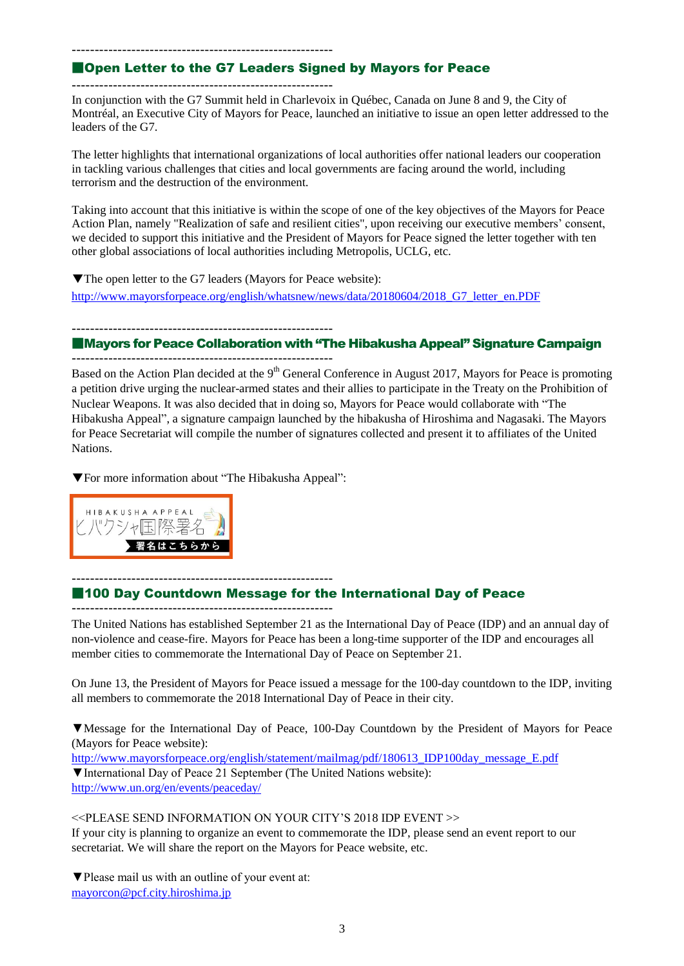#### ---------------------------------------------------------

# ■Open Letter to the G7 Leaders Signed by Mayors for Peace

---------------------------------------------------------

In conjunction with the G7 Summit held in Charlevoix in Québec, Canada on June 8 and 9, the City of Montréal, an Executive City of Mayors for Peace, launched an initiative to issue an open letter addressed to the leaders of the G7.

The letter highlights that international organizations of local authorities offer national leaders our cooperation in tackling various challenges that cities and local governments are facing around the world, including terrorism and the destruction of the environment.

Taking into account that this initiative is within the scope of one of the key objectives of the Mayors for Peace Action Plan, namely "Realization of safe and resilient cities", upon receiving our executive members' consent, we decided to support this initiative and the President of Mayors for Peace signed the letter together with ten other global associations of local authorities including Metropolis, UCLG, etc.

▼The open letter to the G7 leaders (Mayors for Peace website): [http://www.mayorsforpeace.org/english/whatsnew/news/data/20180604/2018\\_G7\\_letter\\_en.PDF](http://www.mayorsforpeace.org/english/whatsnew/news/data/20180604/2018_G7_letter_en.PDF)

--------------------------------------------------------- ■Mayors for Peace Collaboration with "The Hibakusha Appeal" Signature Campaign

--------------------------------------------------------- Based on the Action Plan decided at the  $9<sup>th</sup>$  General Conference in August 2017, Mayors for Peace is promoting a petition drive urging the nuclear-armed states and their allies to participate in the Treaty on the Prohibition of Nuclear Weapons. It was also decided that in doing so, Mayors for Peace would collaborate with "The Hibakusha Appeal", a signature campaign launched by the hibakusha of Hiroshima and Nagasaki. The Mayors for Peace Secretariat will compile the number of signatures collected and present it to affiliates of the United **Nations**.

▼For more information about "The Hibakusha Appeal":



#### --------------------------------------------------------- ■100 Day Countdown Message for the International Day of Peace

---------------------------------------------------------

The United Nations has established September 21 as the International Day of Peace (IDP) and an annual day of non-violence and cease-fire. Mayors for Peace has been a long-time supporter of the IDP and encourages all member cities to commemorate the International Day of Peace on September 21.

On June 13, the President of Mayors for Peace issued a message for the 100-day countdown to the IDP, inviting all members to commemorate the 2018 International Day of Peace in their city.

▼Message for the International Day of Peace, 100-Day Countdown by the President of Mayors for Peace (Mayors for Peace website):

[http://www.mayorsforpeace.org/english/statement/mailmag/pdf/180613\\_IDP100day\\_message\\_E.pdf](http://www.mayorsforpeace.org/english/statement/mailmag/pdf/180613_IDP100day_message_E.pdf) ▼International Day of Peace 21 September (The United Nations website): <http://www.un.org/en/events/peaceday/>

<<PLEASE SEND INFORMATION ON YOUR CITY'S 2018 IDP EVENT >>

If your city is planning to organize an event to commemorate the IDP, please send an event report to our secretariat. We will share the report on the Mayors for Peace website, etc.

▼Please mail us with an outline of your event at: [mayorcon@pcf.city.hiroshima.jp](mailto:mayorcon@pcf.city.hiroshima.jp)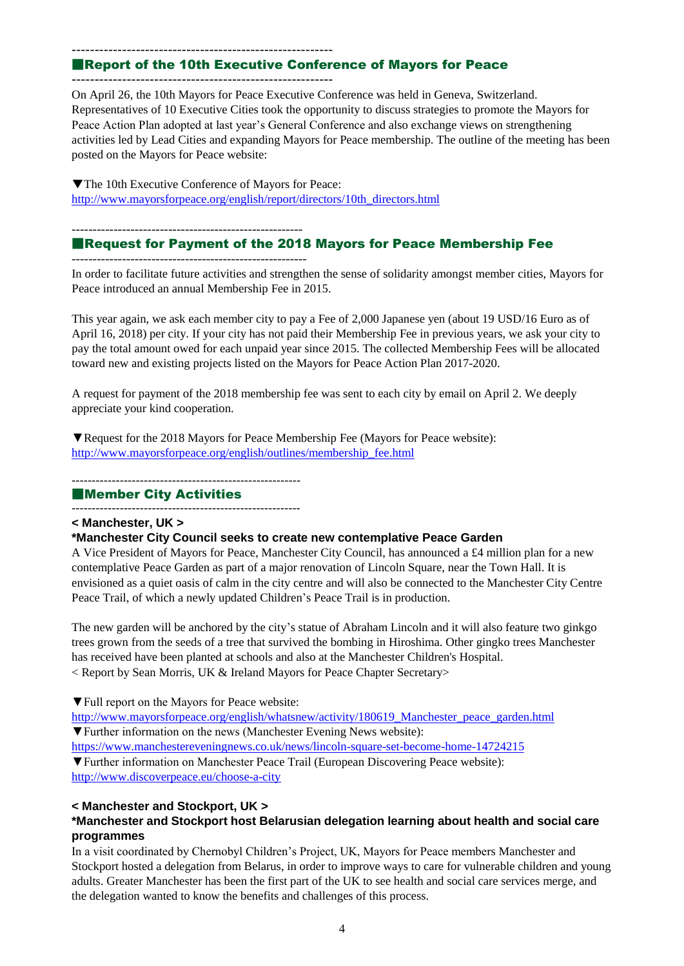#### ---------------------------------------------------------

# ■Report of the 10th Executive Conference of Mayors for Peace

---------------------------------------------------------

On April 26, the 10th Mayors for Peace Executive Conference was held in Geneva, Switzerland. Representatives of 10 Executive Cities took the opportunity to discuss strategies to promote the Mayors for Peace Action Plan adopted at last year's General Conference and also exchange views on strengthening activities led by Lead Cities and expanding Mayors for Peace membership. The outline of the meeting has been posted on the Mayors for Peace website:

▼The 10th Executive Conference of Mayors for Peace: [http://www.mayorsforpeace.org/english/report/directors/10th\\_directors.html](http://www.mayorsforpeace.org/english/report/directors/10th_directors.html)

-------------------------------------------------------

--------------------------------------------------------

# ■Request for Payment of the 2018 Mayors for Peace Membership Fee

In order to facilitate future activities and strengthen the sense of solidarity amongst member cities, Mayors for Peace introduced an annual Membership Fee in 2015.

This year again, we ask each member city to pay a Fee of 2,000 Japanese yen (about 19 USD/16 Euro as of April 16, 2018) per city. If your city has not paid their Membership Fee in previous years, we ask your city to pay the total amount owed for each unpaid year since 2015. The collected Membership Fees will be allocated toward new and existing projects listed on the Mayors for Peace Action Plan 2017-2020.

A request for payment of the 2018 membership fee was sent to each city by email on April 2. We deeply appreciate your kind cooperation.

▼Request for the 2018 [Mayors for Peace Membership Fee](http://www.mayorsforpeace.org/english/outlines/membership_fee.html) (Mayors for Peace website): [http://www.mayorsforpeace.org/english/outlines/membership\\_fee.html](http://www.mayorsforpeace.org/english/outlines/membership_fee.html)

---------------------------------------------------------

#### ■Member City Activities

---------------------------------------------------------

# **< Manchester, UK >**

#### **\*Manchester City Council seeks to create new contemplative Peace Garden**

A Vice President of Mayors for Peace, Manchester City Council, has announced a £4 million plan for a new contemplative Peace Garden as part of a major renovation of Lincoln Square, near the Town Hall. It is envisioned as a quiet oasis of calm in the city centre and will also be connected to the Manchester City Centre Peace Trail, of which a newly updated Children's Peace Trail is in production.

The new garden will be anchored by the city's statue of Abraham Lincoln and it will also feature two ginkgo trees grown from the seeds of a tree that survived the bombing in Hiroshima. Other gingko trees Manchester has received have been planted at schools and also at the Manchester Children's Hospital. < Report by Sean Morris, UK & Ireland Mayors for Peace Chapter Secretary>

▼Full report on the Mayors for Peace website:

[http://www.mayorsforpeace.org/english/whatsnew/activity/180619\\_Manchester\\_peace\\_garden.html](http://www.mayorsforpeace.org/english/whatsnew/activity/180619_Manchester_peace_garden.html) ▼Further information on the news (Manchester Evening News website): <https://www.manchestereveningnews.co.uk/news/lincoln-square-set-become-home-14724215>

▼Further information on Manchester Peace Trail (European Discovering Peace website): <http://www.discoverpeace.eu/choose-a-city>

#### **< Manchester and Stockport, UK >**

# **\*Manchester and Stockport host Belarusian delegation learning about health and social care programmes**

In a visit coordinated by Chernobyl Children's Project, UK, Mayors for Peace members Manchester and Stockport hosted a delegation from Belarus, in order to improve ways to care for vulnerable children and young adults. Greater Manchester has been the first part of the UK to see health and social care services merge, and the delegation wanted to know the benefits and challenges of this process.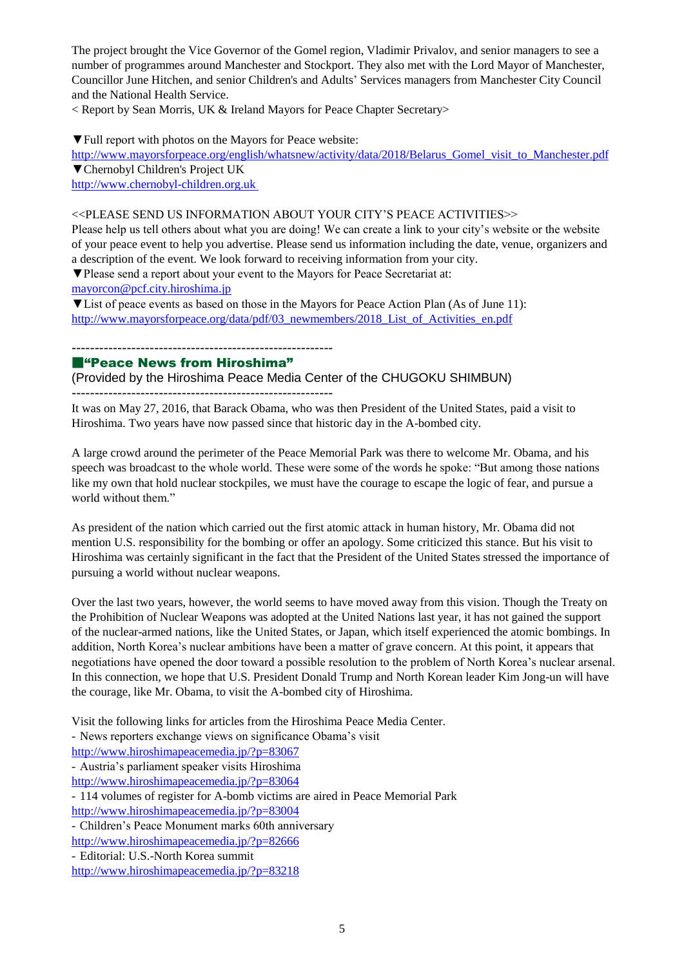The project brought the Vice Governor of the Gomel region, Vladimir Privalov, and senior managers to see a number of programmes around Manchester and Stockport. They also met with the Lord Mayor of Manchester, Councillor June Hitchen, and senior Children's and Adults' Services managers from Manchester City Council and the National Health Service.

< Report by Sean Morris, UK & Ireland Mayors for Peace Chapter Secretary>

▼Full report with photos on the Mayors for Peace website:

http://www.mayorsforpeace.org/english/whatsnew/activity/data/2018/Belarus Gomel visit to Manchester.pdf ▼Chernobyl Children's Project UK

[http://www.chernobyl-children.org.uk](http://www.chernobyl-children.org.uk/)

#### <<PLEASE SEND US INFORMATION ABOUT YOUR CITY'S PEACE ACTIVITIES>>

Please help us tell others about what you are doing! We can create a link to your city's website or the website of your peace event to help you advertise. Please send us information including the date, venue, organizers and a description of the event. We look forward to receiving information from your city.

▼Please send a report about your event to the Mayors for Peace Secretariat at:

mayorcon@pcf.city.hiroshima.jp

▼List of peace events as based on those in the Mayors for Peace Action Plan (As of June 11): [http://www.mayorsforpeace.org/data/pdf/03\\_newmembers/2018\\_List\\_of\\_Activities\\_en.pdf](http://www.mayorsforpeace.org/data/pdf/03_newmembers/2018_List_of_Activities_en.pdf)

# ---------------------------------------------------------

# ■"Peace News from Hiroshima"

(Provided by the Hiroshima Peace Media Center of the CHUGOKU SHIMBUN)

---------------------------------------------------------

It was on May 27, 2016, that Barack Obama, who was then President of the United States, paid a visit to Hiroshima. Two years have now passed since that historic day in the A-bombed city.

A large crowd around the perimeter of the Peace Memorial Park was there to welcome Mr. Obama, and his speech was broadcast to the whole world. These were some of the words he spoke: "But among those nations like my own that hold nuclear stockpiles, we must have the courage to escape the logic of fear, and pursue a world without them."

As president of the nation which carried out the first atomic attack in human history, Mr. Obama did not mention U.S. responsibility for the bombing or offer an apology. Some criticized this stance. But his visit to Hiroshima was certainly significant in the fact that the President of the United States stressed the importance of pursuing a world without nuclear weapons.

Over the last two years, however, the world seems to have moved away from this vision. Though the Treaty on the Prohibition of Nuclear Weapons was adopted at the United Nations last year, it has not gained the support of the nuclear-armed nations, like the United States, or Japan, which itself experienced the atomic bombings. In addition, North Korea's nuclear ambitions have been a matter of grave concern. At this point, it appears that negotiations have opened the door toward a possible resolution to the problem of North Korea's nuclear arsenal. In this connection, we hope that U.S. President Donald Trump and North Korean leader Kim Jong-un will have the courage, like Mr. Obama, to visit the A-bombed city of Hiroshima.

Visit the following links for articles from the Hiroshima Peace Media Center.

- News reporters exchange views on significance Obama's visit

<http://www.hiroshimapeacemedia.jp/?p=83067>

- Austria's parliament speaker visits Hiroshima

<http://www.hiroshimapeacemedia.jp/?p=83064>

- 114 volumes of register for A-bomb victims are aired in Peace Memorial Park <http://www.hiroshimapeacemedia.jp/?p=83004>

- Children's Peace Monument marks 60th anniversary

- <http://www.hiroshimapeacemedia.jp/?p=82666>
- Editorial: U.S.-North Korea summit

http://www.hiroshimapeacemedia.jp/?p=83218